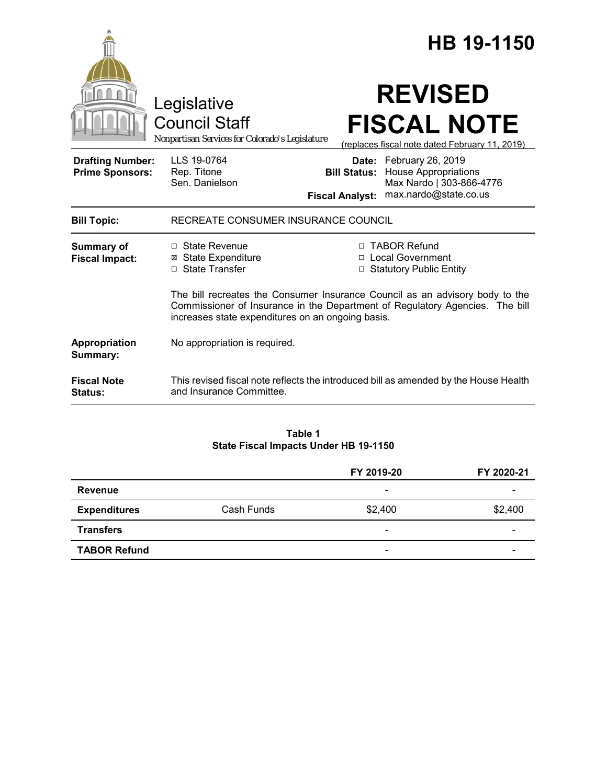|                                                   |                                                                                                                                                                                                                   |                        | HB 19-1150                                                                                                               |
|---------------------------------------------------|-------------------------------------------------------------------------------------------------------------------------------------------------------------------------------------------------------------------|------------------------|--------------------------------------------------------------------------------------------------------------------------|
|                                                   | Legislative<br><b>Council Staff</b><br>Nonpartisan Services for Colorado's Legislature                                                                                                                            |                        | <b>REVISED</b><br><b>FISCAL NOTE</b><br>(replaces fiscal note dated February 11, 2019)                                   |
| <b>Drafting Number:</b><br><b>Prime Sponsors:</b> | LLS 19-0764<br>Rep. Titone<br>Sen. Danielson                                                                                                                                                                      | <b>Fiscal Analyst:</b> | Date: February 26, 2019<br><b>Bill Status:</b> House Appropriations<br>Max Nardo   303-866-4776<br>max.nardo@state.co.us |
| <b>Bill Topic:</b>                                | RECREATE CONSUMER INSURANCE COUNCIL                                                                                                                                                                               |                        |                                                                                                                          |
| Summary of<br><b>Fiscal Impact:</b>               | $\Box$ State Revenue<br><b>⊠</b> State Expenditure<br>□ State Transfer                                                                                                                                            |                        | □ TABOR Refund<br>□ Local Government<br><b>Statutory Public Entity</b>                                                   |
|                                                   | The bill recreates the Consumer Insurance Council as an advisory body to the<br>Commissioner of Insurance in the Department of Regulatory Agencies. The bill<br>increases state expenditures on an ongoing basis. |                        |                                                                                                                          |
| Appropriation<br>Summary:                         | No appropriation is required.                                                                                                                                                                                     |                        |                                                                                                                          |
| <b>Fiscal Note</b><br>Status:                     | and Insurance Committee.                                                                                                                                                                                          |                        | This revised fiscal note reflects the introduced bill as amended by the House Health                                     |

### **Table 1 State Fiscal Impacts Under HB 19-1150**

|                     |            | FY 2019-20               | FY 2020-21               |
|---------------------|------------|--------------------------|--------------------------|
| <b>Revenue</b>      |            | $\overline{\phantom{a}}$ |                          |
| <b>Expenditures</b> | Cash Funds | \$2,400                  | \$2,400                  |
| <b>Transfers</b>    |            | $\overline{\phantom{a}}$ |                          |
| <b>TABOR Refund</b> |            | $\overline{\phantom{a}}$ | $\overline{\phantom{0}}$ |